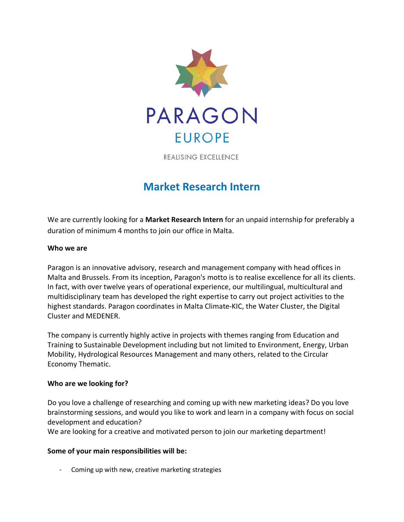

REALISING EXCELLENCE

# **Market Research Intern**

We are currently looking for a **Market Research Intern** for an unpaid internship for preferably a duration of minimum 4 months to join our office in Malta.

## **Who we are**

Paragon is an innovative advisory, research and management company with head offices in Malta and Brussels. From its inception, Paragon's motto is to realise excellence for all its clients. In fact, with over twelve years of operational experience, our multilingual, multicultural and multidisciplinary team has developed the right expertise to carry out project activities to the highest standards. Paragon coordinates in Malta Climate-KIC, the Water Cluster, the Digital Cluster and MEDENER.

The company is currently highly active in projects with themes ranging from Education and Training to Sustainable Development including but not limited to Environment, Energy, Urban Mobility, Hydrological Resources Management and many others, related to the Circular Economy Thematic.

## **Who are we looking for?**

Do you love a challenge of researching and coming up with new marketing ideas? Do you love brainstorming sessions, and would you like to work and learn in a company with focus on social development and education?

We are looking for a creative and motivated person to join our marketing department!

## **Some of your main responsibilities will be:**

- Coming up with new, creative marketing strategies